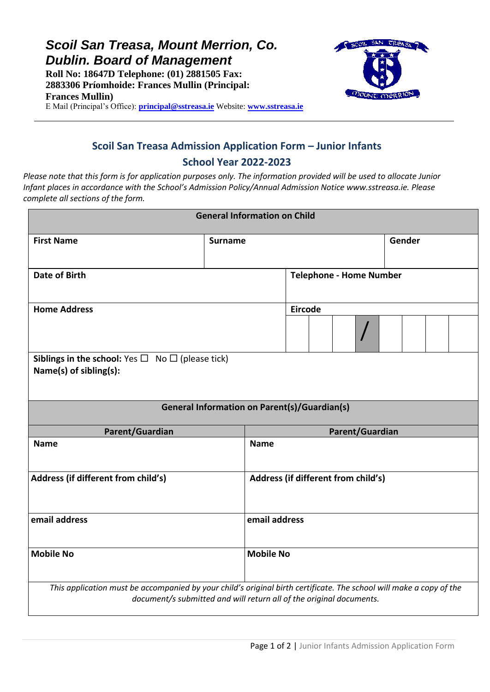*Scoil San Treasa, Mount Merrion, Co. Dublin. Board of Management*

**Roll No: 18647D Telephone: (01) 2881505 Fax: 2883306 Príomhoide: Frances Mullin (Principal: Frances Mullin)**



E Mail (Principal's Office): **[principal@sstreasa.ie](mailto:principal@sstreasa.ie)** Website: **[www.sstreasa.ie](http://www.sstreasa.ie/)**

# **Scoil San Treasa Admission Application Form – Junior Infants School Year 2022-2023**

*Please note that this form is for application purposes only. The information provided will be used to allocate Junior Infant places in accordance with the School's Admission Policy/Annual Admission Notice www.sstreasa.ie. Please complete all sections of the form.*

| <b>General Information on Child</b>                                                  |                                                     |                                                                                                                                                                                            |  |  |  |
|--------------------------------------------------------------------------------------|-----------------------------------------------------|--------------------------------------------------------------------------------------------------------------------------------------------------------------------------------------------|--|--|--|
| <b>First Name</b>                                                                    | <b>Surname</b>                                      | Gender                                                                                                                                                                                     |  |  |  |
| <b>Date of Birth</b>                                                                 |                                                     | <b>Telephone - Home Number</b>                                                                                                                                                             |  |  |  |
| <b>Home Address</b>                                                                  |                                                     | <b>Eircode</b>                                                                                                                                                                             |  |  |  |
| Siblings in the school: Yes $\Box$ No $\Box$ (please tick)<br>Name(s) of sibling(s): |                                                     |                                                                                                                                                                                            |  |  |  |
|                                                                                      | <b>General Information on Parent(s)/Guardian(s)</b> |                                                                                                                                                                                            |  |  |  |
| Parent/Guardian                                                                      |                                                     | Parent/Guardian                                                                                                                                                                            |  |  |  |
| <b>Name</b>                                                                          | <b>Name</b>                                         |                                                                                                                                                                                            |  |  |  |
| Address (if different from child's)                                                  |                                                     | Address (if different from child's)                                                                                                                                                        |  |  |  |
| email address                                                                        |                                                     | email address                                                                                                                                                                              |  |  |  |
| <b>Mobile No</b>                                                                     | <b>Mobile No</b>                                    |                                                                                                                                                                                            |  |  |  |
|                                                                                      |                                                     | This application must be accompanied by your child's original birth certificate. The school will make a copy of the<br>document/s submitted and will return all of the original documents. |  |  |  |